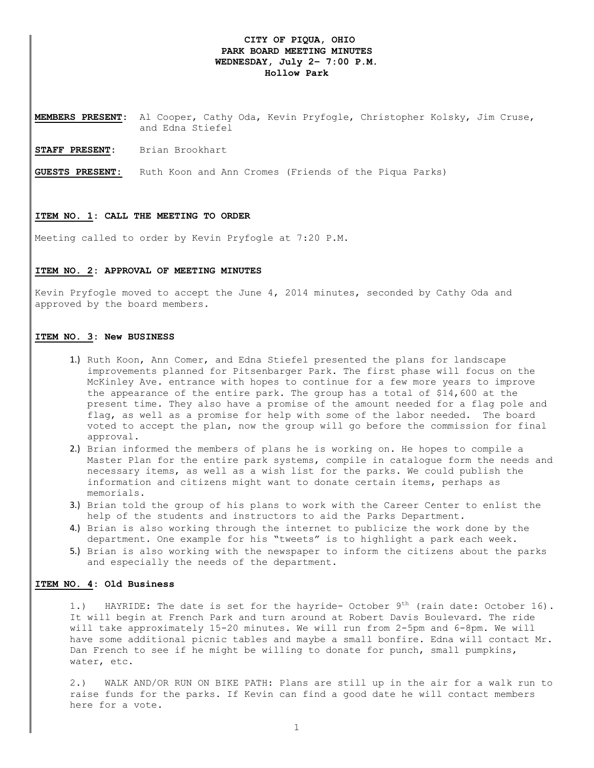# **CITY OF PIQUA, OHIO PARK BOARD MEETING MINUTES WEDNESDAY, July 2– 7:00 P.M. Hollow Park**

**MEMBERS PRESENT:** Al Cooper, Cathy Oda, Kevin Pryfogle, Christopher Kolsky, Jim Cruse, and Edna Stiefel

**STAFF PRESENT:** Brian Brookhart

**GUESTS PRESENT:** Ruth Koon and Ann Cromes (Friends of the Piqua Parks)

### **ITEM NO. 1: CALL THE MEETING TO ORDER**

Meeting called to order by Kevin Pryfogle at 7:20 P.M.

### **ITEM NO. 2: APPROVAL OF MEETING MINUTES**

Kevin Pryfogle moved to accept the June 4, 2014 minutes, seconded by Cathy Oda and approved by the board members.

# **ITEM NO. 3: New BUSINESS**

- 1.) Ruth Koon, Ann Comer, and Edna Stiefel presented the plans for landscape improvements planned for Pitsenbarger Park. The first phase will focus on the McKinley Ave. entrance with hopes to continue for a few more years to improve the appearance of the entire park. The group has a total of \$14,600 at the present time. They also have a promise of the amount needed for a flag pole and flag, as well as a promise for help with some of the labor needed. The board voted to accept the plan, now the group will go before the commission for final approval.
- 2.) Brian informed the members of plans he is working on. He hopes to compile a Master Plan for the entire park systems, compile in catalogue form the needs and necessary items, as well as a wish list for the parks. We could publish the information and citizens might want to donate certain items, perhaps as memorials.
- 3.) Brian told the group of his plans to work with the Career Center to enlist the help of the students and instructors to aid the Parks Department.
- 4.) Brian is also working through the internet to publicize the work done by the department. One example for his "tweets" is to highlight a park each week.
- 5.) Brian is also working with the newspaper to inform the citizens about the parks and especially the needs of the department.

## **ITEM NO. 4: Old Business**

1.) HAYRIDE: The date is set for the hayride- October  $9^{th}$  (rain date: October 16). It will begin at French Park and turn around at Robert Davis Boulevard. The ride will take approximately 15-20 minutes. We will run from 2-5pm and 6-8pm. We will have some additional picnic tables and maybe a small bonfire. Edna will contact Mr. Dan French to see if he might be willing to donate for punch, small pumpkins, water, etc.

2.) WALK AND/OR RUN ON BIKE PATH: Plans are still up in the air for a walk run to raise funds for the parks. If Kevin can find a good date he will contact members here for a vote.